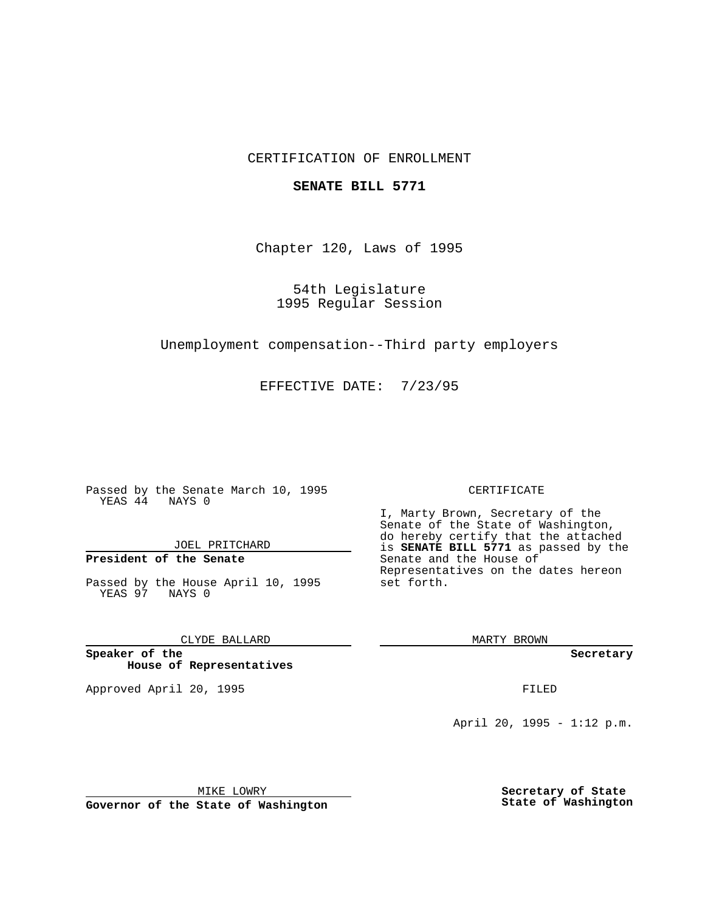## CERTIFICATION OF ENROLLMENT

### **SENATE BILL 5771**

Chapter 120, Laws of 1995

54th Legislature 1995 Regular Session

Unemployment compensation--Third party employers

EFFECTIVE DATE: 7/23/95

Passed by the Senate March 10, 1995 YEAS 44 NAYS 0

JOEL PRITCHARD

# **President of the Senate**

Passed by the House April 10, 1995 YEAS 97 NAYS 0

CLYDE BALLARD

**Speaker of the House of Representatives**

Approved April 20, 1995 FILED

#### CERTIFICATE

I, Marty Brown, Secretary of the Senate of the State of Washington, do hereby certify that the attached is **SENATE BILL 5771** as passed by the Senate and the House of Representatives on the dates hereon set forth.

MARTY BROWN

**Secretary**

April 20, 1995 - 1:12 p.m.

MIKE LOWRY

**Governor of the State of Washington**

**Secretary of State State of Washington**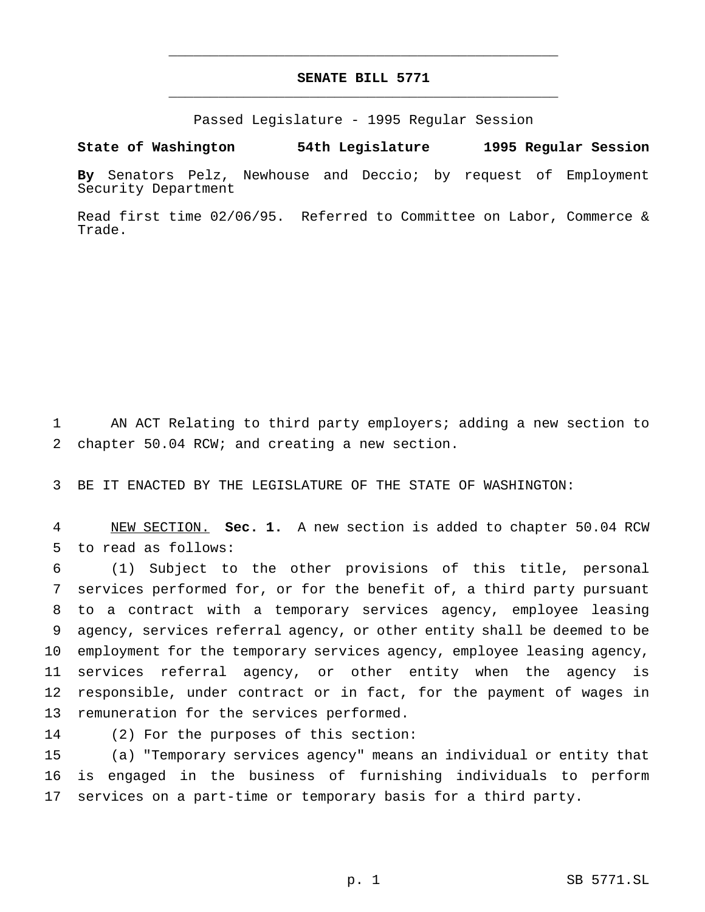## **SENATE BILL 5771** \_\_\_\_\_\_\_\_\_\_\_\_\_\_\_\_\_\_\_\_\_\_\_\_\_\_\_\_\_\_\_\_\_\_\_\_\_\_\_\_\_\_\_\_\_\_\_

\_\_\_\_\_\_\_\_\_\_\_\_\_\_\_\_\_\_\_\_\_\_\_\_\_\_\_\_\_\_\_\_\_\_\_\_\_\_\_\_\_\_\_\_\_\_\_

Passed Legislature - 1995 Regular Session

### **State of Washington 54th Legislature 1995 Regular Session**

**By** Senators Pelz, Newhouse and Deccio; by request of Employment Security Department

Read first time 02/06/95. Referred to Committee on Labor, Commerce & Trade.

 AN ACT Relating to third party employers; adding a new section to chapter 50.04 RCW; and creating a new section.

BE IT ENACTED BY THE LEGISLATURE OF THE STATE OF WASHINGTON:

 NEW SECTION. **Sec. 1.** A new section is added to chapter 50.04 RCW to read as follows:

 (1) Subject to the other provisions of this title, personal services performed for, or for the benefit of, a third party pursuant to a contract with a temporary services agency, employee leasing agency, services referral agency, or other entity shall be deemed to be employment for the temporary services agency, employee leasing agency, services referral agency, or other entity when the agency is responsible, under contract or in fact, for the payment of wages in remuneration for the services performed.

(2) For the purposes of this section:

 (a) "Temporary services agency" means an individual or entity that is engaged in the business of furnishing individuals to perform services on a part-time or temporary basis for a third party.